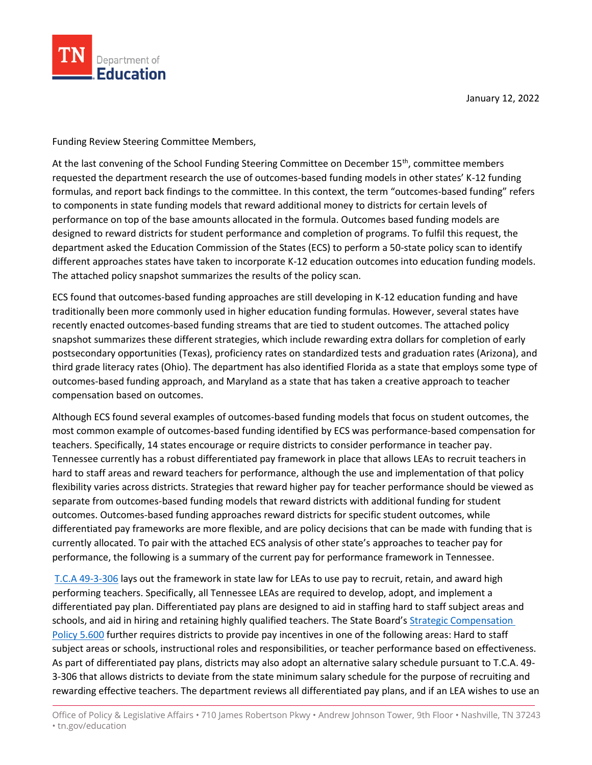

January 12, 2022

Funding Review Steering Committee Members,

Department of **Education** 

At the last convening of the School Funding Steering Committee on December 15<sup>th</sup>, committee members requested the department research the use of outcomes-based funding models in other states' K-12 funding formulas, and report back findings to the committee. In this context, the term "outcomes-based funding" refers to components in state funding models that reward additional money to districts for certain levels of performance on top of the base amounts allocated in the formula. Outcomes based funding models are designed to reward districts for student performance and completion of programs. To fulfil this request, the department asked the Education Commission of the States (ECS) to perform a 50-state policy scan to identify different approaches states have taken to incorporate K-12 education outcomes into education funding models. The attached policy snapshot summarizes the results of the policy scan.

ECS found that outcomes-based funding approaches are still developing in K-12 education funding and have traditionally been more commonly used in higher education funding formulas. However, several states have recently enacted outcomes-based funding streams that are tied to student outcomes. The attached policy snapshot summarizes these different strategies, which include rewarding extra dollars for completion of early postsecondary opportunities (Texas), proficiency rates on standardized tests and graduation rates (Arizona), and third grade literacy rates (Ohio). The department has also identified Florida as a state that employs some type of outcomes-based funding approach, and Maryland as a state that has taken a creative approach to teacher compensation based on outcomes.

Although ECS found several examples of outcomes-based funding models that focus on student outcomes, the most common example of outcomes-based funding identified by ECS was performance-based compensation for teachers. Specifically, 14 states encourage or require districts to consider performance in teacher pay. Tennessee currently has a robust differentiated pay framework in place that allows LEAs to recruit teachers in hard to staff areas and reward teachers for performance, although the use and implementation of that policy flexibility varies across districts. Strategies that reward higher pay for teacher performance should be viewed as separate from outcomes-based funding models that reward districts with additional funding for student outcomes. Outcomes-based funding approaches reward districts for specific student outcomes, while differentiated pay frameworks are more flexible, and are policy decisions that can be made with funding that is currently allocated. To pair with the attached ECS analysis of other state's approaches to teacher pay for performance, the following is a summary of the current pay for performance framework in Tennessee.

[T.C.A 49-3-306](https://advance.lexis.com/documentpage/?pdmfid=1000516&crid=3313a8c0-06cd-4433-9328-880ba9f060ba&nodeid=ABXAADAADAAG&nodepath=/ROOT/ABX/ABXAAD/ABXAADAAD/ABXAADAADAAG&level=4&haschildren=&populated=false&title=49-3-306.%20State%20salary%20schedule%20%e2%80%94%20Computation%20%e2%80%94%20Pay%20supplement%20%e2%80%94%20Licensed%20personnel%20salaries.&config=025054JABlOTJjNmIyNi0wYjI0LTRjZGEtYWE5ZC0zNGFhOWNhMjFlNDgKAFBvZENhdGFsb2cDFQ14bX2GfyBTaI9WcPX5&pddocfullpath=/shared/document/statutes-legislation/urn:contentItem:4X55-GPD0-R03K-7415-00008-00&ecomp=_g1_kkk&prid=c56c0a8b-f03a-42b9-a148-c41800bf01a4) lays out the framework in state law for LEAs to use pay to recruit, retain, and award high performing teachers. Specifically, all Tennessee LEAs are required to develop, adopt, and implement a differentiated pay plan. Differentiated pay plans are designed to aid in staffing hard to staff subject areas and schools, and aid in hiring and retaining highly qualified teachers. The State Board's Strategic Compensation [Policy 5.600](https://www.tn.gov/content/dam/tn/stateboardofeducation/documents/2020-sbe-meetings/july-24%2c-2020-sbe-meeting/7-24-20%20IV%20D%20Strategic%20Compensation%20Policy%205.600%20Attachment%20Clean.pdf) further requires districts to provide pay incentives in one of the following areas: Hard to staff subject areas or schools, instructional roles and responsibilities, or teacher performance based on effectiveness. As part of differentiated pay plans, districts may also adopt an alternative salary schedule pursuant to T.C.A. 49- 3-306 that allows districts to deviate from the state minimum salary schedule for the purpose of recruiting and rewarding effective teachers. The department reviews all differentiated pay plans, and if an LEA wishes to use an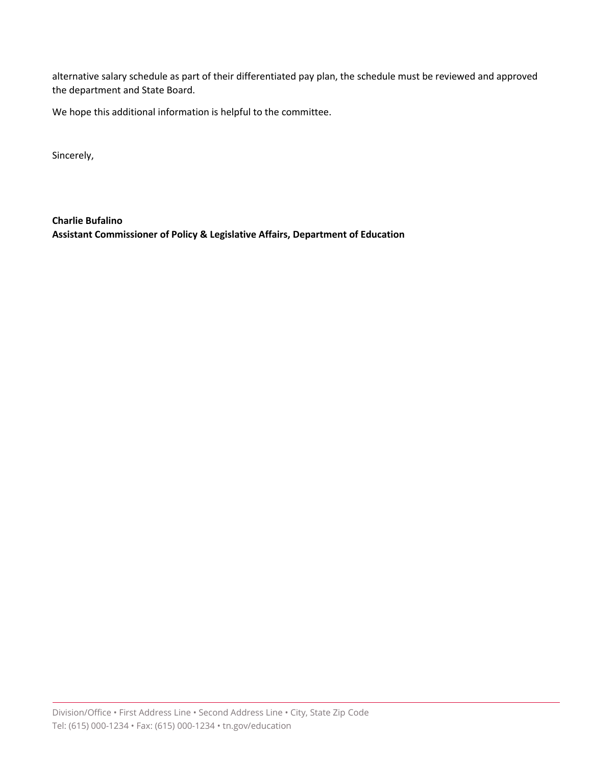alternative salary schedule as part of their differentiated pay plan, the schedule must be reviewed and approved the department and State Board.

We hope this additional information is helpful to the committee.

Sincerely,

**Charlie Bufalino Assistant Commissioner of Policy & Legislative Affairs, Department of Education**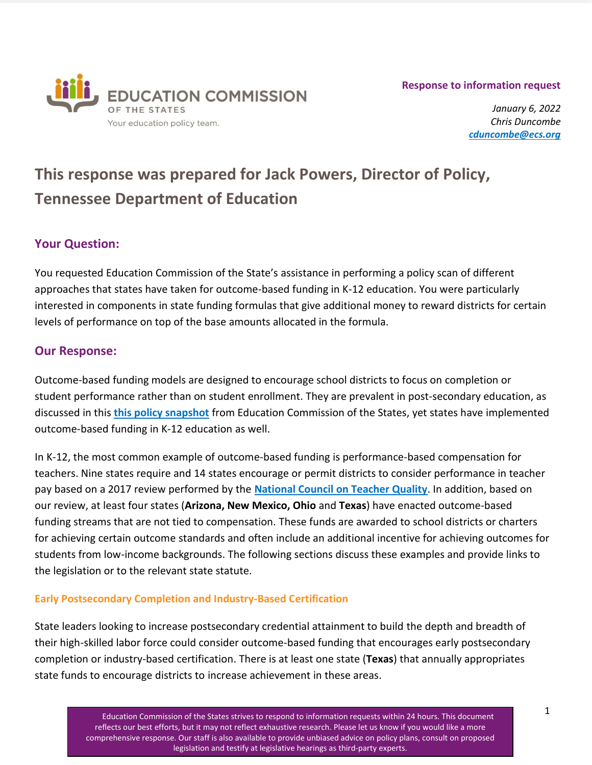#### **Response to information request**



*January 6, 2022 Chris Duncombe [cduncombe@ecs.org](mailto:cduncombe@ecs.org)*

# **This response was prepared for Jack Powers, Director of Policy, Tennessee Department of Education**

# **Your Question:**

You requested Education Commission of the State's assistance in performing a policy scan of different approaches that states have taken for outcome-based funding in K-12 education. You were particularly interested in components in state funding formulas that give additional money to reward districts for certain levels of performance on top of the base amounts allocated in the formula.

# **Our Response:**

Outcome-based funding models are designed to encourage school districts to focus on completion or student performance rather than on student enrollment. They are prevalent in post-secondary education, as discussed in this **[this policy snapshot](https://www.ecs.org/policy-snapshot-outcomes-based-funding/)** from Education Commission of the States, yet states have implemented outcome-based funding in K-12 education as well.

In K-12, the most common example of outcome-based funding is performance-based compensation for teachers. Nine states require and 14 states encourage or permit districts to consider performance in teacher pay based on a 2017 review performed by the **[National Council on Teacher Quality](https://www.nctq.org/yearbook/national/Performance-78)**. In addition, based on our review, at least four states (**Arizona, New Mexico, Ohio** and **Texas**) have enacted outcome-based funding streams that are not tied to compensation. These funds are awarded to school districts or charters for achieving certain outcome standards and often include an additional incentive for achieving outcomes for students from low-income backgrounds. The following sections discuss these examples and provide links to the legislation or to the relevant state statute.

## **Early Postsecondary Completion and Industry-Based Certification**

State leaders looking to increase postsecondary credential attainment to build the depth and breadth of their high-skilled labor force could consider outcome-based funding that encourages early postsecondary completion or industry-based certification. There is at least one state (**Texas**) that annually appropriates state funds to encourage districts to increase achievement in these areas.

> Education Commission of the States strives to respond to information requests within 24 hours. This document reflects our best efforts, but it may not reflect exhaustive research. Please let us know if you would like a more comprehensive response. Our staff is also available to provide unbiased advice on policy plans, consult on proposed legislation and testify at legislative hearings as third-party experts.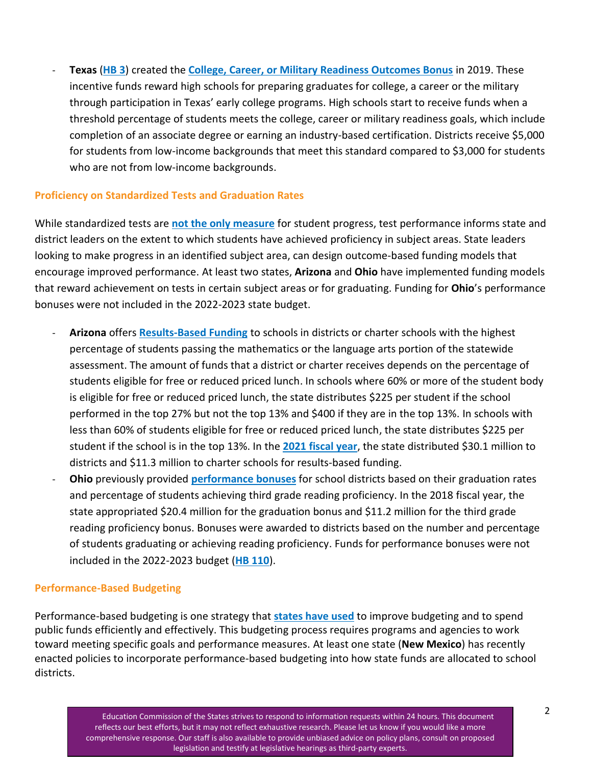- **Texas** (**[HB 3](https://capitol.texas.gov/BillLookup/History.aspx?LegSess=86R&Bill=HB3)**) created the **[College, Career, or Military Readiness Outcomes Bonus](https://tea.texas.gov/about-tea/news-and-multimedia/correspondence/taa-letters/college-career-or-military-readiness-outcomes-bonus-thresholds)** in 2019. These incentive funds reward high schools for preparing graduates for college, a career or the military through participation in Texas' early college programs. High schools start to receive funds when a threshold percentage of students meets the college, career or military readiness goals, which include completion of an associate degree or earning an industry-based certification. Districts receive \$5,000 for students from low-income backgrounds that meet this standard compared to \$3,000 for students who are not from low-income backgrounds.

#### **Proficiency on Standardized Tests and Graduation Rates**

While standardized tests are **[not the only measure](https://www.edweek.org/teaching-learning/opinion-alternatives-to-standardized-tests-during-a-pandemic-year/2021/03)** for student progress, test performance informs state and district leaders on the extent to which students have achieved proficiency in subject areas. State leaders looking to make progress in an identified subject area, can design outcome-based funding models that encourage improved performance. At least two states, **Arizona** and **Ohio** have implemented funding models that reward achievement on tests in certain subject areas or for graduating. Funding for **Ohio**'s performance bonuses were not included in the 2022-2023 state budget.

- **Arizona** offers **[Results-Based Funding](https://www.azed.gov/finance/fy-2022-results-based-funding-calculations)** to schools in districts or charter schools with the highest percentage of students passing the mathematics or the language arts portion of the statewide assessment. The amount of funds that a district or charter receives depends on the percentage of students eligible for free or reduced priced lunch. In schools where 60% or more of the student body is eligible for free or reduced priced lunch, the state distributes \$225 per student if the school performed in the top 27% but not the top 13% and \$400 if they are in the top 13%. In schools with less than 60% of students eligible for free or reduced priced lunch, the state distributes \$225 per student if the school is in the top 13%. In the **[2021 fiscal year](https://www.azed.gov/finance/fy2021-results-based-funding)**, the state distributed \$30.1 million to districts and \$11.3 million to charter schools for results-based funding.
- **Ohio** previously provided **[performance bonuses](https://www.lsc.ohio.gov/documents/reference/current/schoolfunding/sfcr_feb2019.pdf)** for school districts based on their graduation rates and percentage of students achieving third grade reading proficiency. In the 2018 fiscal year, the state appropriated \$20.4 million for the graduation bonus and \$11.2 million for the third grade reading proficiency bonus. Bonuses were awarded to districts based on the number and percentage of students graduating or achieving reading proficiency. Funds for performance bonuses were not included in the 2022-2023 budget (**[HB 110](https://www.lsc.ohio.gov/pages/budget/current/CurrentGA.aspx/CurrentGA.aspx?Budget=MainOperating&ID=MainOperating&Version=contentFI)**).

## **Performance-Based Budgeting**

Performance-based budgeting is one strategy that **[states have used](https://www.ncsl.org/research/fiscal-policy/performance-based-budgeting-in-the-states.aspx)** to improve budgeting and to spend public funds efficiently and effectively. This budgeting process requires programs and agencies to work toward meeting specific goals and performance measures. At least one state (**New Mexico**) has recently enacted policies to incorporate performance-based budgeting into how state funds are allocated to school districts.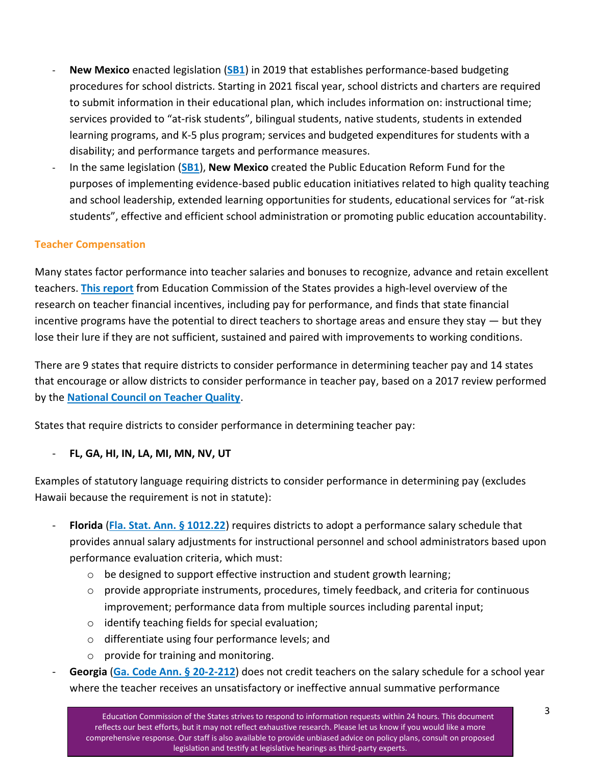- **New Mexico** enacted legislation (**[SB1](https://www.nmlegis.gov/Legislation/Legislation?chamber=S&legType=B&legNo=1&year=19)**) in 2019 that establishes performance-based budgeting procedures for school districts. Starting in 2021 fiscal year, school districts and charters are required to submit information in their educational plan, which includes information on: instructional time; services provided to "at-risk students", bilingual students, native students, students in extended learning programs, and K-5 plus program; services and budgeted expenditures for students with a disability; and performance targets and performance measures.
- In the same legislation (**[SB1](https://www.nmlegis.gov/Legislation/Legislation?chamber=S&legType=B&legNo=1&year=19)**), **New Mexico** created the Public Education Reform Fund for the purposes of implementing evidence-based public education initiatives related to high quality teaching and school leadership, extended learning opportunities for students, educational services for "at-risk students", effective and efficient school administration or promoting public education accountability.

## **Teacher Compensation**

Many states factor performance into teacher salaries and bonuses to recognize, advance and retain excellent teachers. **[This report](http://www.ecs.org/wp-content/uploads/Mitigating-Teacher-Shortages-Financial-incentives.pdf)** from Education Commission of the States provides a high-level overview of the research on teacher financial incentives, including pay for performance, and finds that state financial incentive programs have the potential to direct teachers to shortage areas and ensure they stay  $-$  but they lose their lure if they are not sufficient, sustained and paired with improvements to working conditions.

There are 9 states that require districts to consider performance in determining teacher pay and 14 states that encourage or allow districts to consider performance in teacher pay, based on a 2017 review performed by the **[National Council on Teacher Quality](https://www.nctq.org/yearbook/national/Performance-78)**.

States that require districts to consider performance in determining teacher pay:

#### - **FL, GA, HI, IN, LA, MI, MN, NV, UT**

Examples of statutory language requiring districts to consider performance in determining pay (excludes Hawaii because the requirement is not in statute):

- **Florida** (**Fla. [Stat. Ann. § 1012.22](http://www.leg.state.fl.us/Statutes/index.cfm?App_mode=Display_Statute&URL=1000-1099/1012/Sections/1012.22.html)**) requires districts to adopt a performance salary schedule that provides annual salary adjustments for instructional personnel and school administrators based upon performance evaluation criteria, which must:
	- $\circ$  be designed to support effective instruction and student growth learning;
	- $\circ$  provide appropriate instruments, procedures, timely feedback, and criteria for continuous improvement; performance data from multiple sources including parental input;
	- o identify teaching fields for special evaluation;
	- o differentiate using four performance levels; and
	- o provide for training and monitoring.
- Georgia ([Ga. Code Ann. § 20-2-212](https://advance.lexis.com/documentpage/?pdmfid=1000516&crid=ac9e03e8-4349-461d-92df-d1845bb61d80&config=00JAA1MDBlYzczZi1lYjFlLTQxMTgtYWE3OS02YTgyOGM2NWJlMDYKAFBvZENhdGFsb2feed0oM9qoQOMCSJFX5qkd&pddocfullpath=/shared/document/statutes-legislation/urn:contentItem:6338-9N71-JNJT-B43K-00008-00&pdcontentcomponentid=234186&pdteaserkey=sr0&pditab=allpods&ecomp=_ss_kkk&earg=sr0&prid=f7849235-5e8d-440a-b386-6f5e0622c9bb)) does not credit teachers on the salary schedule for a school year where the teacher receives an unsatisfactory or ineffective annual summative performance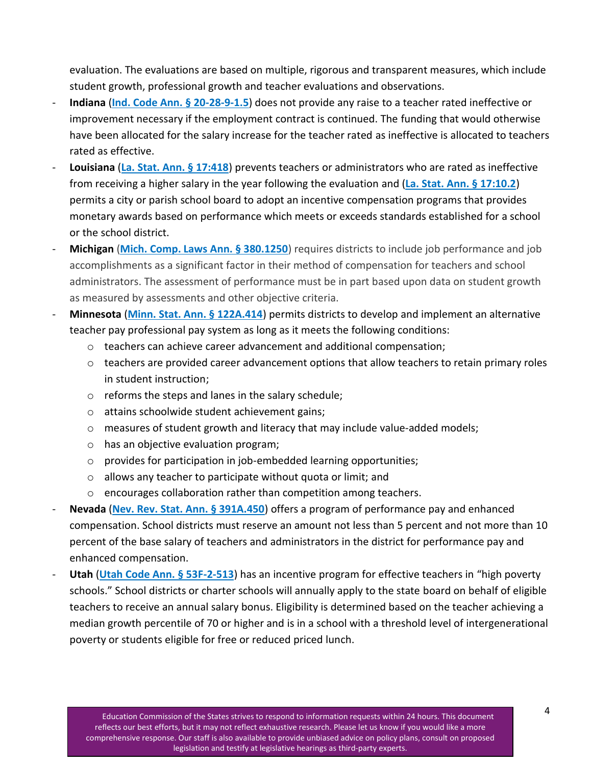evaluation. The evaluations are based on multiple, rigorous and transparent measures, which include student growth, professional growth and teacher evaluations and observations.

- **Indiana** (**[Ind. Code Ann. § 20-28-9-1.5](http://184.175.130.101/legislative/laws/2021/ic/titles/020#20-28-9-1.5)**) does not provide any raise to a teacher rated ineffective or improvement necessary if the employment contract is continued. The funding that would otherwise have been allocated for the salary increase for the teacher rated as ineffective is allocated to teachers rated as effective.
- **Louisiana** (**[La. Stat. Ann. § 17:418](http://legis.la.gov/legis/Law.aspx?d=81043)**) prevents teachers or administrators who are rated as ineffective from receiving a higher salary in the year following the evaluation and (**[La. Stat. Ann. § 17:10.2](https://legis.la.gov/Legis/Law.aspx?d=79733)**) permits a city or parish school board to adopt an incentive compensation programs that provides monetary awards based on performance which meets or exceeds standards established for a school or the school district.
- **Michigan** ([Mich. Comp. Laws Ann. § 380.1250](http://www.legislature.mi.gov/(S(vlaonekbqwuwuodpoo5zrcy5))/mileg.aspx?page=GetObject&objectname=mcl-380-1250#:~:text=380.1250%20Compensation%20including%20job%20performance,of%20advanced%20degree%20as%20factor.)) requires districts to include job performance and job accomplishments as a significant factor in their method of compensation for teachers and school administrators. The assessment of performance must be in part based upon data on student growth as measured by assessments and other objective criteria.
- **Minnesota** (**[Minn. Stat. Ann. § 122A.414](https://www.revisor.mn.gov/statutes/cite/122A.414)**) permits districts to develop and implement an alternative teacher pay professional pay system as long as it meets the following conditions:
	- o teachers can achieve career advancement and additional compensation;
	- o teachers are provided career advancement options that allow teachers to retain primary roles in student instruction;
	- o reforms the steps and lanes in the salary schedule;
	- o attains schoolwide student achievement gains;
	- $\circ$  measures of student growth and literacy that may include value-added models;
	- o has an objective evaluation program;
	- $\circ$  provides for participation in job-embedded learning opportunities;
	- o allows any teacher to participate without quota or limit; and
	- o encourages collaboration rather than competition among teachers.
- **Nevada** (**[Nev. Rev. Stat. Ann. § 391A.450](https://www.leg.state.nv.us/nrs/NRS-391A.html#NRS391ASec450)**) offers a program of performance pay and enhanced compensation. School districts must reserve an amount not less than 5 percent and not more than 10 percent of the base salary of teachers and administrators in the district for performance pay and enhanced compensation.
- **Utah** (**[Utah Code Ann. § 53F-2-513](https://le.utah.gov/xcode/Title53F/Chapter2/53F-2-S513.html)**) has an incentive program for effective teachers in "high poverty schools." School districts or charter schools will annually apply to the state board on behalf of eligible teachers to receive an annual salary bonus. Eligibility is determined based on the teacher achieving a median growth percentile of 70 or higher and is in a school with a threshold level of intergenerational poverty or students eligible for free or reduced priced lunch.